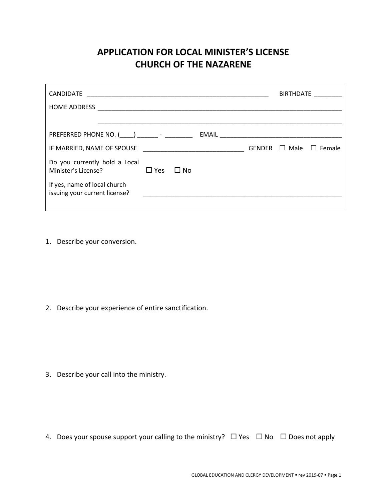## **APPLICATION FOR LOCAL MINISTER'S LICENSE CHURCH OF THE NAZARENE**

| CANDIDATE                                                     |            |              |                                                             |               | BIRTHDATE   |                   |
|---------------------------------------------------------------|------------|--------------|-------------------------------------------------------------|---------------|-------------|-------------------|
| <b>HOME ADDRESS</b>                                           |            |              |                                                             |               |             |                   |
|                                                               |            |              |                                                             |               |             |                   |
| PREFERRED PHONE NO. ( ) -                                     |            |              |                                                             |               |             |                   |
| IF MARRIED, NAME OF SPOUSE                                    |            |              | the control of the control of the control of the control of | <b>GENDER</b> | $\Box$ Male | Female<br>$\perp$ |
| Do you currently hold a Local<br>Minister's License?          | $\Box$ Yes | $\square$ No |                                                             |               |             |                   |
| If yes, name of local church<br>issuing your current license? |            |              |                                                             |               |             |                   |
|                                                               |            |              |                                                             |               |             |                   |

1. Describe your conversion.

2. Describe your experience of entire sanctification.

3. Describe your call into the ministry.

4. Does your spouse support your calling to the ministry?  $\Box$  Yes  $\Box$  No  $\Box$  Does not apply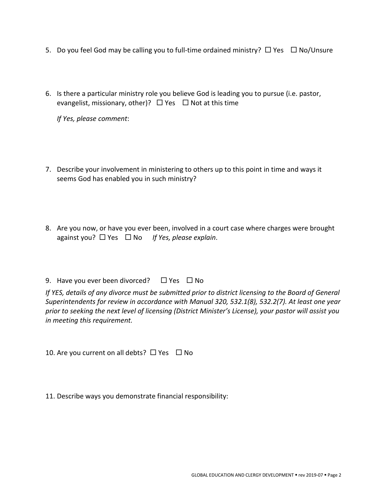- 5. Do you feel God may be calling you to full-time ordained ministry?  $\Box$  Yes  $\Box$  No/Unsure
- 6. Is there a particular ministry role you believe God is leading you to pursue (i.e. pastor, evangelist, missionary, other)?  $\Box$  Yes  $\Box$  Not at this time

*If Yes, please comment*:

- 7. Describe your involvement in ministering to others up to this point in time and ways it seems God has enabled you in such ministry?
- 8. Are you now, or have you ever been, involved in a court case where charges were brought against you? □ Yes □ No *If Yes, please explain*.
- 9. Have you ever been divorced?  $\Box$  Yes  $\Box$  No

*If YES, details of any divorce must be submitted prior to district licensing to the Board of General Superintendents for review in accordance with Manual 320, 532.1(8), 532.2(7). At least one year prior to seeking the next level of licensing (District Minister's License), your pastor will assist you in meeting this requirement.* 

10. Are you current on all debts?  $\Box$  Yes  $\Box$  No

11. Describe ways you demonstrate financial responsibility: